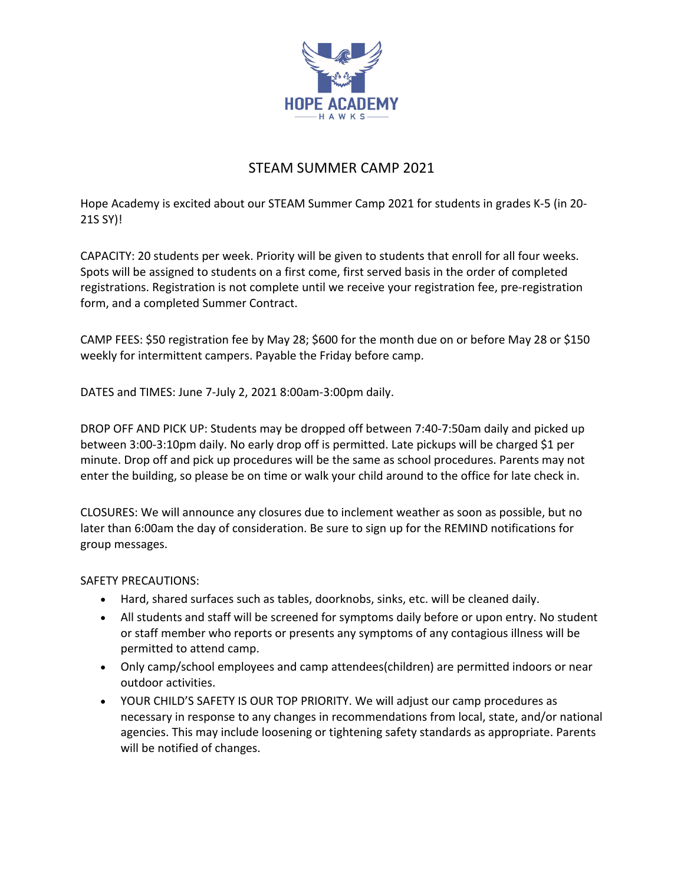

## STEAM SUMMER CAMP 2021

Hope Academy is excited about our STEAM Summer Camp 2021 for students in grades K‐5 (in 20‐ 21S SY)!

CAPACITY: 20 students per week. Priority will be given to students that enroll for all four weeks. Spots will be assigned to students on a first come, first served basis in the order of completed registrations. Registration is not complete until we receive your registration fee, pre‐registration form, and a completed Summer Contract.

CAMP FEES: \$50 registration fee by May 28; \$600 for the month due on or before May 28 or \$150 weekly for intermittent campers. Payable the Friday before camp.

DATES and TIMES: June 7‐July 2, 2021 8:00am‐3:00pm daily.

DROP OFF AND PICK UP: Students may be dropped off between 7:40‐7:50am daily and picked up between 3:00‐3:10pm daily. No early drop off is permitted. Late pickups will be charged \$1 per minute. Drop off and pick up procedures will be the same as school procedures. Parents may not enter the building, so please be on time or walk your child around to the office for late check in.

CLOSURES: We will announce any closures due to inclement weather as soon as possible, but no later than 6:00am the day of consideration. Be sure to sign up for the REMIND notifications for group messages.

## SAFETY PRECAUTIONS:

- Hard, shared surfaces such as tables, doorknobs, sinks, etc. will be cleaned daily.
- All students and staff will be screened for symptoms daily before or upon entry. No student or staff member who reports or presents any symptoms of any contagious illness will be permitted to attend camp.
- Only camp/school employees and camp attendees(children) are permitted indoors or near outdoor activities.
- YOUR CHILD'S SAFETY IS OUR TOP PRIORITY. We will adjust our camp procedures as necessary in response to any changes in recommendations from local, state, and/or national agencies. This may include loosening or tightening safety standards as appropriate. Parents will be notified of changes.